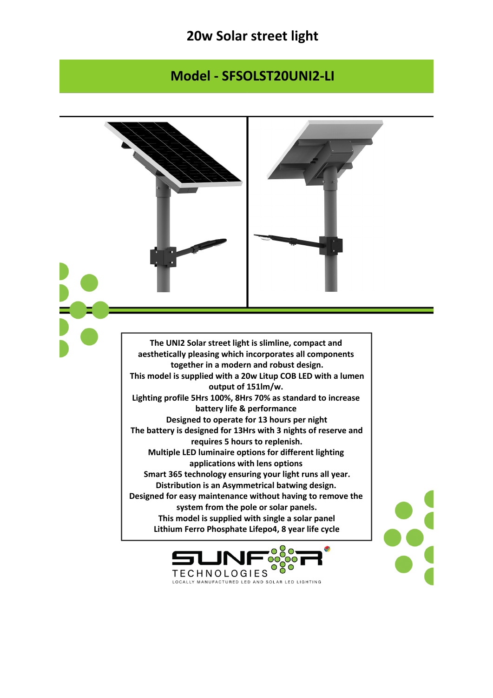## **20w Solar street light**

## **Model - SFSOLST20UNI2-LI**

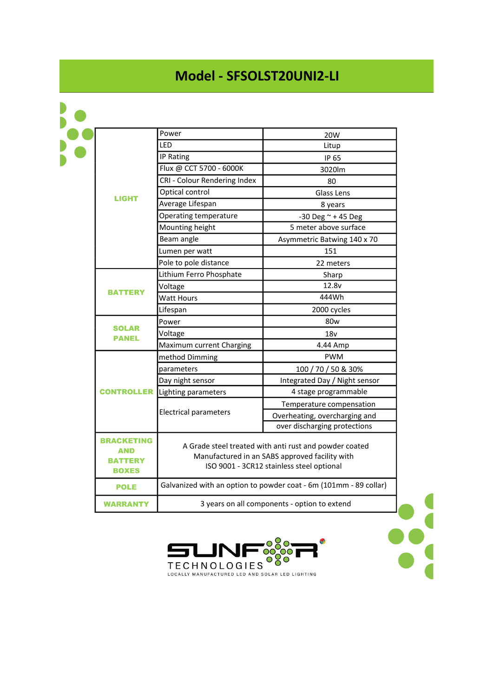## **Model - SFSOLST20UNI2-LI**

| <b>LIGHT</b>                                        | Power                                                                                                                                                 | 20W                           |
|-----------------------------------------------------|-------------------------------------------------------------------------------------------------------------------------------------------------------|-------------------------------|
|                                                     | LED                                                                                                                                                   | Litup                         |
|                                                     | IP Rating                                                                                                                                             | IP 65                         |
|                                                     | Flux @ CCT 5700 - 6000K                                                                                                                               | 3020lm                        |
|                                                     | CRI - Colour Rendering Index                                                                                                                          | 80                            |
|                                                     | Optical control                                                                                                                                       | Glass Lens                    |
|                                                     | Average Lifespan                                                                                                                                      | 8 years                       |
|                                                     | Operating temperature                                                                                                                                 | -30 Deg $\sim$ +45 Deg        |
|                                                     | Mounting height                                                                                                                                       | 5 meter above surface         |
|                                                     | Beam angle                                                                                                                                            | Asymmetric Batwing 140 x 70   |
|                                                     | Lumen per watt                                                                                                                                        | 151                           |
|                                                     | Pole to pole distance                                                                                                                                 | 22 meters                     |
| <b>BATTERY</b>                                      | Lithium Ferro Phosphate                                                                                                                               | Sharp                         |
|                                                     | Voltage                                                                                                                                               | 12.8v                         |
|                                                     | <b>Watt Hours</b>                                                                                                                                     | 444Wh                         |
|                                                     | Lifespan                                                                                                                                              | 2000 cycles                   |
| <b>SOLAR</b><br><b>PANEL</b>                        | Power                                                                                                                                                 | 80 <sub>w</sub>               |
|                                                     | Voltage                                                                                                                                               | 18 <sub>V</sub>               |
|                                                     | Maximum current Charging                                                                                                                              | 4.44 Amp                      |
| <b>CONTROLLER</b>                                   | method Dimming                                                                                                                                        | <b>PWM</b>                    |
|                                                     | parameters                                                                                                                                            | 100 / 70 / 50 & 30%           |
|                                                     | Day night sensor                                                                                                                                      | Integrated Day / Night sensor |
|                                                     | Lighting parameters                                                                                                                                   | 4 stage programmable          |
|                                                     | <b>Electrical parameters</b>                                                                                                                          | Temperature compensation      |
|                                                     |                                                                                                                                                       | Overheating, overcharging and |
|                                                     |                                                                                                                                                       | over discharging protections  |
| <b>BRACKETING</b><br>AND<br>BATTERY<br><b>BOXES</b> | A Grade steel treated with anti rust and powder coated<br>Manufactured in an SABS approved facility with<br>ISO 9001 - 3CR12 stainless steel optional |                               |
| <b>POLE</b>                                         | Galvanized with an option to powder coat - 6m (101mm - 89 collar)                                                                                     |                               |
| <b>WARRANTY</b>                                     | 3 years on all components - option to extend                                                                                                          |                               |